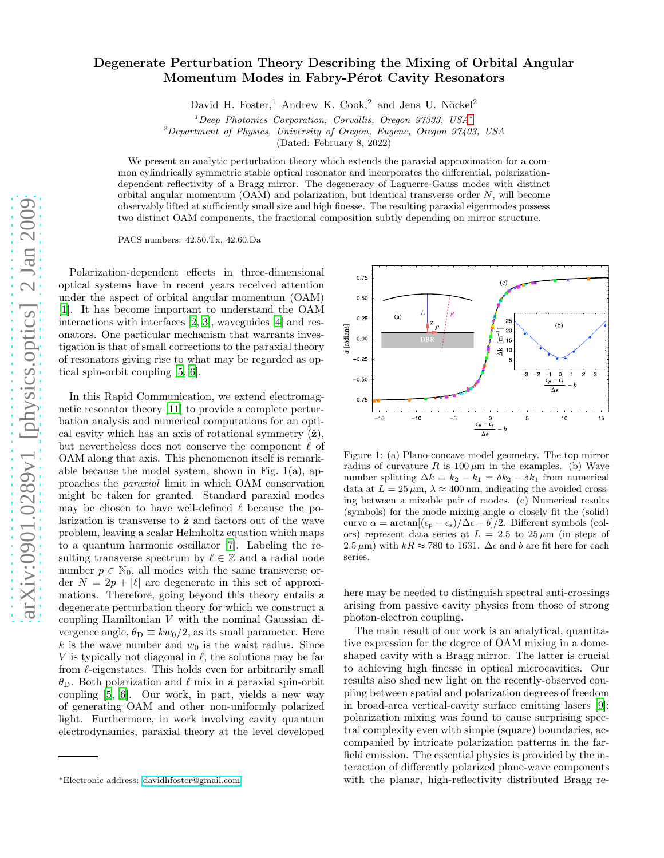## Degenerate Perturbation Theory Describing the Mixing of Orbital Angular Momentum Modes in Fabry-Pérot Cavity Resonators

David H. Foster,<sup>1</sup> Andrew K. Cook,<sup>2</sup> and Jens U. Nöckel<sup>2</sup>

 $1$ Deep Photonics Corporation, Corvallis, Oregon 97333, USA $*$ 

<sup>2</sup>Department of Physics, University of Oregon, Eugene, Oregon 97403, USA

(Dated: February 8, 2022)

We present an analytic perturbation theory which extends the paraxial approximation for a common cylindrically symmetric stable optical resonator and incorporates the differential, polarizationdependent reflectivity of a Bragg mirror. The degeneracy of Laguerre-Gauss modes with distinct orbital angular momentum  $(OAM)$  and polarization, but identical transverse order  $N$ , will become observably lifted at sufficiently small size and high finesse. The resulting paraxial eigenmodes possess two distinct OAM components, the fractional composition subtly depending on mirror structure.

PACS numbers: 42.50.Tx, 42.60.Da

Polarization-dependent effects in three-dimensional optical systems have in recent years received attention under the aspect of orbital angular momentum (OAM) [\[1\]](#page-3-0). It has become important to understand the OAM interactions with interfaces [\[2](#page-3-1), [3\]](#page-3-2), waveguides [\[4](#page-3-3)] and resonators. One particular mechanism that warrants investigation is that of small corrections to the paraxial theory of resonators giving rise to what may be regarded as optical spin-orbit coupling [\[5](#page-3-4), [6](#page-3-5)].

In this Rapid Communication, we extend electromagnetic resonator theory [\[11\]](#page-3-6) to provide a complete perturbation analysis and numerical computations for an optical cavity which has an axis of rotational symmetry  $(\hat{\mathbf{z}})$ , but nevertheless does not conserve the component  $\ell$  of OAM along that axis. This phenomenon itself is remarkable because the model system, shown in Fig. 1(a), approaches the paraxial limit in which OAM conservation might be taken for granted. Standard paraxial modes may be chosen to have well-defined  $\ell$  because the polarization is transverse to  $\hat{z}$  and factors out of the wave problem, leaving a scalar Helmholtz equation which maps to a quantum harmonic oscillator [\[7](#page-3-7)]. Labeling the resulting transverse spectrum by  $\ell \in \mathbb{Z}$  and a radial node number  $p \in \mathbb{N}_0$ , all modes with the same transverse order  $N = 2p + |\ell|$  are degenerate in this set of approximations. Therefore, going beyond this theory entails a degenerate perturbation theory for which we construct a coupling Hamiltonian V with the nominal Gaussian divergence angle,  $\theta_{\rm D} \equiv k w_0/2$ , as its small parameter. Here k is the wave number and  $w_0$  is the waist radius. Since V is typically not diagonal in  $\ell$ , the solutions may be far from  $\ell$ -eigenstates. This holds even for arbitrarily small  $θ$ <sub>D</sub>. Both polarization and  $ℓ$  mix in a paraxial spin-orbit coupling [\[5](#page-3-4), [6](#page-3-5)]. Our work, in part, yields a new way of generating OAM and other non-uniformly polarized light. Furthermore, in work involving cavity quantum electrodynamics, paraxial theory at the level developed



Figure 1: (a) Plano-concave model geometry. The top mirror radius of curvature R is  $100 \mu m$  in the examples. (b) Wave number splitting  $\Delta k \equiv k_2 - k_1 = \delta k_2 - \delta k_1$  from numerical data at  $L = 25 \,\mu\text{m}$ ,  $\lambda \approx 400 \,\text{nm}$ , indicating the avoided crossing between a mixable pair of modes. (c) Numerical results (symbols) for the mode mixing angle  $\alpha$  closely fit the (solid) curve  $\alpha = \arctan[(\epsilon_{\rm p} - \epsilon_{\rm s})/\Delta \epsilon - b]/2$ . Different symbols (colors) represent data series at  $L = 2.5$  to  $25 \mu m$  (in steps of 2.5  $\mu$ m) with  $kR \approx 780$  to 1631.  $\Delta \epsilon$  and b are fit here for each series.

here may be needed to distinguish spectral anti-crossings arising from passive cavity physics from those of strong photon-electron coupling.

The main result of our work is an analytical, quantitative expression for the degree of OAM mixing in a domeshaped cavity with a Bragg mirror. The latter is crucial to achieving high finesse in optical microcavities. Our results also shed new light on the recently-observed coupling between spatial and polarization degrees of freedom in broad-area vertical-cavity surface emitting lasers [\[9\]](#page-3-8): polarization mixing was found to cause surprising spectral complexity even with simple (square) boundaries, accompanied by intricate polarization patterns in the farfield emission. The essential physics is provided by the interaction of differently polarized plane-wave components with the planar, high-reflectivity distributed Bragg re-

<span id="page-0-0"></span><sup>∗</sup>Electronic address: [davidhfoster@gmail.com](mailto:davidhfoster@gmail.com)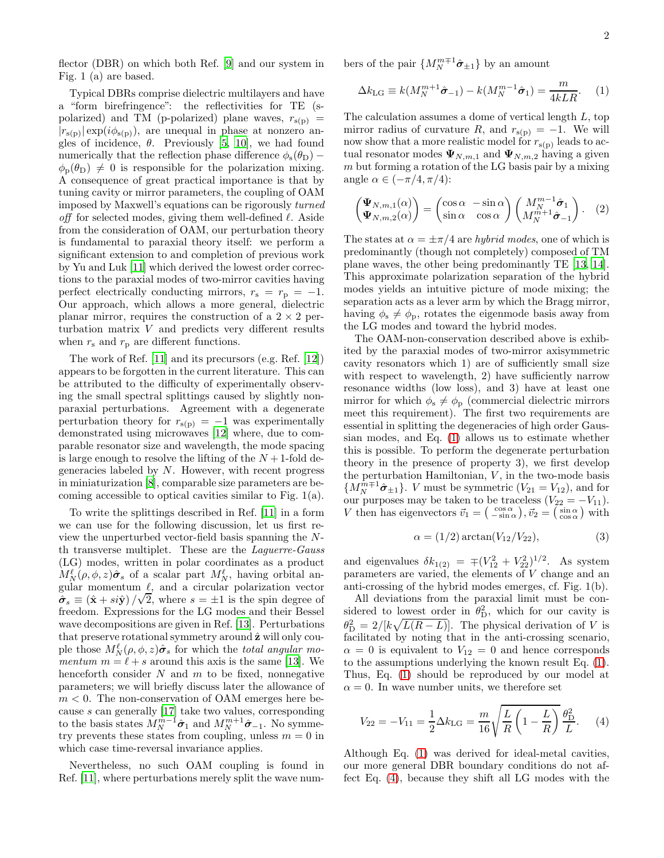flector (DBR) on which both Ref. [\[9\]](#page-3-8) and our system in Fig. 1 (a) are based.

Typical DBRs comprise dielectric multilayers and have a "form birefringence": the reflectivities for TE (spolarized) and TM (p-polarized) plane waves,  $r_{s(p)}$  =  $|r_{s(p)}| \exp(i\phi_{s(p)})$ , are unequal in phase at nonzero angles of incidence,  $\theta$ . Previously [\[5](#page-3-4), [10](#page-3-9)], we had found numerically that the reflection phase difference  $\phi_s(\theta_D)$  –  $\phi_p(\theta_D) \neq 0$  is responsible for the polarization mixing. A consequence of great practical importance is that by tuning cavity or mirror parameters, the coupling of OAM imposed by Maxwell's equations can be rigorously turned off for selected modes, giving them well-defined  $\ell$ . Aside from the consideration of OAM, our perturbation theory is fundamental to paraxial theory itself: we perform a significant extension to and completion of previous work by Yu and Luk [\[11](#page-3-6)] which derived the lowest order corrections to the paraxial modes of two-mirror cavities having perfect electrically conducting mirrors,  $r_s = r_p = -1$ . Our approach, which allows a more general, dielectric planar mirror, requires the construction of a  $2 \times 2$  perturbation matrix V and predicts very different results when  $r_s$  and  $r_p$  are different functions.

The work of Ref. [\[11](#page-3-6)] and its precursors (e.g. Ref. [\[12\]](#page-3-10)) appears to be forgotten in the current literature. This can be attributed to the difficulty of experimentally observing the small spectral splittings caused by slightly nonparaxial perturbations. Agreement with a degenerate perturbation theory for  $r_{s(p)} = -1$  was experimentally demonstrated using microwaves [\[12\]](#page-3-10) where, due to comparable resonator size and wavelength, the mode spacing is large enough to resolve the lifting of the  $N+1$ -fold degeneracies labeled by N. However, with recent progress in miniaturization [\[8\]](#page-3-11), comparable size parameters are becoming accessible to optical cavities similar to Fig. 1(a).

To write the splittings described in Ref. [\[11](#page-3-6)] in a form we can use for the following discussion, let us first review the unperturbed vector-field basis spanning the Nth transverse multiplet. These are the Laguerre-Gauss (LG) modes, written in polar coordinates as a product  $M_N^{\ell}(\rho, \phi, z)\hat{\sigma}_s$  of a scalar part  $M_N^{\ell}$ , having orbital angular momentum  $\ell$ , and a circular polarization vector  $\hat{\sigma}_s \equiv (\hat{x} + si\hat{y})/\sqrt{2}$ , where  $s = \pm 1$  is the spin degree of freedom. Expressions for the LG modes and their Bessel wave decompositions are given in Ref. [\[13\]](#page-3-12). Perturbations that preserve rotational symmetry around  $\hat{z}$  will only couple those  $M_N^{\ell}(\rho, \phi, z)\hat{\sigma}_s$  for which the total angular momentum  $m = \ell + s$  around this axis is the same [\[13\]](#page-3-12). We henceforth consider  $N$  and  $m$  to be fixed, nonnegative parameters; we will briefly discuss later the allowance of  $m < 0$ . The non-conservation of OAM emerges here because s can generally [\[17\]](#page-3-13) take two values, corresponding to the basis states  $M_N^{m-1}\hat{\sigma}_1$  and  $M_N^{m+1}\hat{\sigma}_{-1}$ . No symmetry prevents these states from coupling, unless  $m = 0$  in which case time-reversal invariance applies.

Nevertheless, no such OAM coupling is found in Ref. [\[11\]](#page-3-6), where perturbations merely split the wave numbers of the pair  $\{M_N^{m+1}\hat{\boldsymbol{\sigma}}_{\pm 1}\}\$  by an amount

<span id="page-1-0"></span>
$$
\Delta k_{\text{LG}} \equiv k(M_N^{m+1}\hat{\sigma}_{-1}) - k(M_N^{m-1}\hat{\sigma}_1) = \frac{m}{4kLR}.
$$
 (1)

The calculation assumes a dome of vertical length L, top mirror radius of curvature R, and  $r_{s(p)} = -1$ . We will now show that a more realistic model for  $r_{\rm s(p)}$  leads to actual resonator modes  $\Psi_{N,m,1}$  and  $\Psi_{N,m,2}$  having a given  $m$  but forming a rotation of the LG basis pair by a mixing angle  $\alpha \in (-\pi/4, \pi/4)$ :

<span id="page-1-2"></span>
$$
\begin{pmatrix} \Psi_{N,m,1}(\alpha) \\ \Psi_{N,m,2}(\alpha) \end{pmatrix} = \begin{pmatrix} \cos \alpha & -\sin \alpha \\ \sin \alpha & \cos \alpha \end{pmatrix} \begin{pmatrix} M_N^{m-1} \hat{\sigma}_1 \\ M_N^{m+1} \hat{\sigma}_{-1} \end{pmatrix} . \quad (2)
$$

The states at  $\alpha = \pm \pi/4$  are *hybrid modes*, one of which is predominantly (though not completely) composed of TM plane waves, the other being predominantly TE [\[13,](#page-3-12) [14\]](#page-3-14). This approximate polarization separation of the hybrid modes yields an intuitive picture of mode mixing; the separation acts as a lever arm by which the Bragg mirror, having  $\phi_s \neq \phi_p$ , rotates the eigenmode basis away from the LG modes and toward the hybrid modes.

The OAM-non-conservation described above is exhibited by the paraxial modes of two-mirror axisymmetric cavity resonators which 1) are of sufficiently small size with respect to wavelength, 2) have sufficiently narrow resonance widths (low loss), and 3) have at least one mirror for which  $\phi_s \neq \phi_p$  (commercial dielectric mirrors meet this requirement). The first two requirements are essential in splitting the degeneracies of high order Gaussian modes, and Eq. [\(1\)](#page-1-0) allows us to estimate whether this is possible. To perform the degenerate perturbation theory in the presence of property 3), we first develop the perturbation Hamiltonian,  $V$ , in the two-mode basis  $\{M_N^{\hat{m}\mp1}\hat{\sigma}_{\pm 1}\}\.$  V must be symmetric  $(V_{21} = V_{12})$ , and for our purposes may be taken to be traceless  $(V_{22} = -V_{11})$ . V then has eigenvectors  $\vec{v}_1 = \begin{pmatrix} \cos \alpha \\ -\sin \alpha \end{pmatrix}$ ,  $\vec{v}_2 = \begin{pmatrix} \sin \alpha \\ \cos \alpha \end{pmatrix}$  with

$$
\alpha = (1/2) \arctan(V_{12}/V_{22}), \tag{3}
$$

and eigenvalues  $\delta k_{1(2)} = \mp (V_{12}^2 + V_{22}^2)^{1/2}$ . As system parameters are varied, the elements of V change and an anti-crossing of the hybrid modes emerges, cf. Fig. 1(b).

All deviations from the paraxial limit must be considered to lowest order in  $\theta_{\rm D}^2$ , which for our cavity is  $\theta_{\rm D}^2 = 2/[k\sqrt{L(R-L)}]$ . The physical derivation of V is facilitated by noting that in the anti-crossing scenario,  $\alpha = 0$  is equivalent to  $V_{12} = 0$  and hence corresponds to the assumptions underlying the known result Eq. [\(1\)](#page-1-0). Thus, Eq. [\(1\)](#page-1-0) should be reproduced by our model at  $\alpha = 0$ . In wave number units, we therefore set

<span id="page-1-1"></span>
$$
V_{22} = -V_{11} = \frac{1}{2} \Delta k_{\text{LG}} = \frac{m}{16} \sqrt{\frac{L}{R} \left( 1 - \frac{L}{R} \right)} \frac{\theta_{\text{D}}^2}{L}.
$$
 (4)

Although Eq. [\(1\)](#page-1-0) was derived for ideal-metal cavities, our more general DBR boundary conditions do not affect Eq. [\(4\)](#page-1-1), because they shift all LG modes with the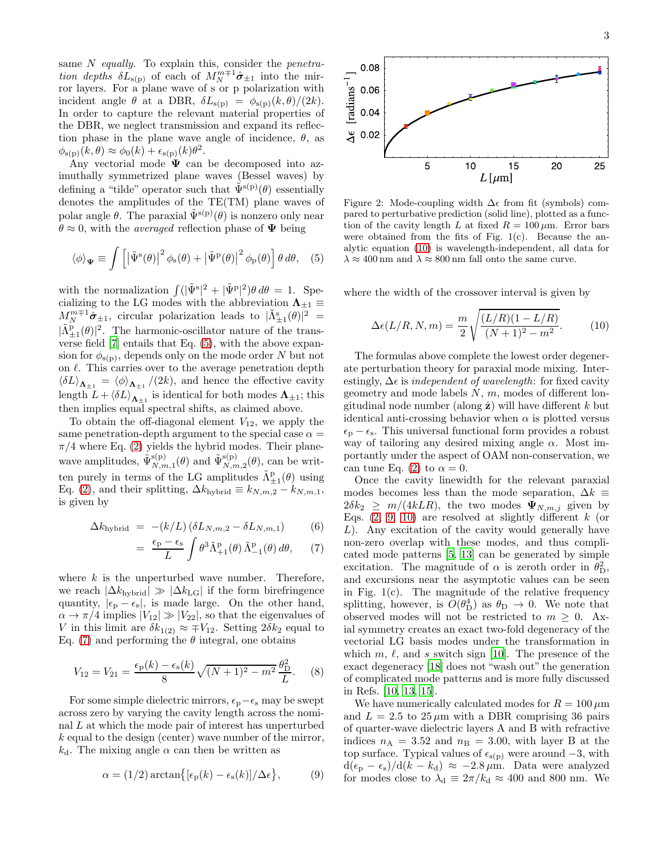same  $N$  equally. To explain this, consider the *penetra*tion depths  $\delta L_{s(p)}$  of each of  $M_N^{m \mp 1} \hat{\sigma}_{\pm 1}$  into the mirror layers. For a plane wave of s or p polarization with incident angle  $\theta$  at a DBR,  $\delta L_{s(p)} = \phi_{s(p)}(k, \theta)/(2k)$ . In order to capture the relevant material properties of the DBR, we neglect transmission and expand its reflection phase in the plane wave angle of incidence,  $\theta$ , as  $\phi_{s(p)}(k,\theta) \approx \phi_0(k) + \epsilon_{s(p)}(k)\theta^2.$ 

Any vectorial mode  $\Psi$  can be decomposed into azimuthally symmetrized plane waves (Bessel waves) by defining a "tilde" operator such that  $\tilde{\Psi}^{s(p)}(\theta)$  essentially denotes the amplitudes of the TE(TM) plane waves of polar angle  $\theta$ . The paraxial  $\tilde{\Psi}^{s(p)}(\theta)$  is nonzero only near  $\theta \approx 0$ , with the *averaged* reflection phase of  $\Psi$  being

<span id="page-2-0"></span>
$$
\langle \phi \rangle_{\Psi} \equiv \int \left[ \left| \tilde{\Psi}^{s}(\theta) \right|^{2} \phi_{s}(\theta) + \left| \tilde{\Psi}^{p}(\theta) \right|^{2} \phi_{p}(\theta) \right] \theta \, d\theta, \quad (5)
$$

with the normalization  $\int (|\tilde{\Psi}^s|^2 + |\tilde{\Psi}^p|^2) \theta d\theta = 1$ . Specializing to the LG modes with the abbreviation  $\Lambda_{\pm 1} \equiv$  $M_N^{m+1} \hat{\sigma}_{\pm 1}$ , circular polarization leads to  $|\tilde{\Lambda}_{\pm 1}^s(\theta)|^2$  =  $|\tilde{\Lambda}_{\pm 1}^{\text{p}}(\theta)|^2$ . The harmonic-oscillator nature of the transverse field [\[7\]](#page-3-7) entails that Eq. [\(5\)](#page-2-0), with the above expansion for  $\phi_{s(p)}$ , depends only on the mode order N but not on  $\ell$ . This carries over to the average penetration depth  $\langle \delta L \rangle_{\mathbf{\Lambda}_{\pm 1}} = \langle \phi \rangle_{\mathbf{\Lambda}_{\pm 1}} / (2k)$ , and hence the effective cavity length  $L + \langle \delta L \rangle_{\mathbf{\Lambda}_{\pm 1}}$  is identical for both modes  $\mathbf{\Lambda}_{\pm 1}$ ; this then implies equal spectral shifts, as claimed above.

To obtain the off-diagonal element  $V_{12}$ , we apply the same penetration-depth argument to the special case  $\alpha =$  $\pi/4$  where Eq. [\(2\)](#page-1-2) yields the hybrid modes. Their planewave amplitudes,  $\tilde{\Psi}_{N,n}^{\text{s(p)}}$  ${}^{\mathrm{s(p)}}_{N,m,1}(\theta)$  and  $\tilde{\Psi}_{N,n}^{\mathrm{s(p)}}$  $S_{N,m,2}^{(p)}(\theta)$ , can be written purely in terms of the LG amplitudes  $\tilde{\Lambda}^{\text{p}}_{\pm 1}(\theta)$  using Eq. [\(2\)](#page-1-2), and their splitting,  $\Delta k_{\text{hybrid}} \equiv k_{N,m,2} - k_{N,m,1}$ , is given by

<span id="page-2-1"></span>
$$
\Delta k_{\text{hybrid}} = -(k/L) (\delta L_{N,m,2} - \delta L_{N,m,1}) \tag{6}
$$

$$
= \frac{\epsilon_{\rm p} - \epsilon_{\rm s}}{L} \int \theta^3 \tilde{\Lambda}^{\rm p}_{+1}(\theta) \, \tilde{\Lambda}^{\rm p}_{-1}(\theta) \, d\theta, \qquad (7)
$$

where  $k$  is the unperturbed wave number. Therefore, we reach  $|\Delta k_{\text{hybrid}}| \gg |\Delta k_{\text{LG}}|$  if the form birefringence quantity,  $|\epsilon_{\rm p} - \epsilon_{\rm s}|$ , is made large. On the other hand,  $\alpha \rightarrow \pi/4$  implies  $|V_{12}| \gg |V_{22}|$ , so that the eigenvalues of V in this limit are  $\delta k_{1(2)} \approx \mp V_{12}$ . Setting  $2\delta k_2$  equal to Eq. [\(7\)](#page-2-1) and performing the  $\theta$  integral, one obtains

$$
V_{12} = V_{21} = \frac{\epsilon_{\rm p}(k) - \epsilon_{\rm s}(k)}{8} \sqrt{(N+1)^2 - m^2} \frac{\theta_{\rm D}^2}{L}.
$$
 (8)

For some simple dielectric mirrors,  $\epsilon_p - \epsilon_s$  may be swept across zero by varying the cavity length across the nominal  $L$  at which the mode pair of interest has unperturbed k equal to the design (center) wave number of the mirror,  $k_d$ . The mixing angle  $\alpha$  can then be written as

$$
\alpha = (1/2) \arctan\{[\epsilon_{\rm p}(k) - \epsilon_{\rm s}(k)]/\Delta \epsilon\},\tag{9}
$$



Figure 2: Mode-coupling width  $\Delta \epsilon$  from fit (symbols) compared to perturbative prediction (solid line), plotted as a function of the cavity length L at fixed  $R = 100 \,\mu \text{m}$ . Error bars were obtained from the fits of Fig.  $1(c)$ . Because the analytic equation [\(10\)](#page-2-2) is wavelength-independent, all data for  $\lambda \approx 400$  nm and  $\lambda \approx 800$  nm fall onto the same curve.

where the width of the crossover interval is given by

<span id="page-2-2"></span>
$$
\Delta \epsilon (L/R, N, m) = \frac{m}{2} \sqrt{\frac{(L/R)(1 - L/R)}{(N+1)^2 - m^2}}.
$$
 (10)

The formulas above complete the lowest order degenerate perturbation theory for paraxial mode mixing. Interestingly,  $\Delta \epsilon$  is *independent of wavelength*: for fixed cavity geometry and mode labels  $N, m$ , modes of different longitudinal node number (along  $\hat{z}$ ) will have different k but identical anti-crossing behavior when  $\alpha$  is plotted versus  $\epsilon_{p} - \epsilon_{s}$ . This universal functional form provides a robust way of tailoring any desired mixing angle  $\alpha$ . Most importantly under the aspect of OAM non-conservation, we can tune Eq. [\(2\)](#page-1-2) to  $\alpha = 0$ .

Once the cavity linewidth for the relevant paraxial modes becomes less than the mode separation,  $\Delta k \equiv$  $2\delta k_2 \geq m/(4kLR)$ , the two modes  $\Psi_{N,m,j}$  given by Eqs.  $(2, 9, 10)$  $(2, 9, 10)$  $(2, 9, 10)$  are resolved at slightly different k (or L). Any excitation of the cavity would generally have non-zero overlap with these modes, and thus complicated mode patterns [\[5,](#page-3-4) [13](#page-3-12)] can be generated by simple excitation. The magnitude of  $\alpha$  is zeroth order in  $\theta_{\rm D}^2$ , and excursions near the asymptotic values can be seen in Fig.  $1(c)$ . The magnitude of the relative frequency splitting, however, is  $O(\theta_{\rm D}^4)$  as  $\theta_{\rm D} \to 0$ . We note that observed modes will not be restricted to  $m \geq 0$ . Axial symmetry creates an exact two-fold degeneracy of the vectorial LG basis modes under the transformation in which m,  $\ell$ , and s switch sign [\[10\]](#page-3-9). The presence of the exact degeneracy [\[18](#page-3-15)] does not "wash out" the generation of complicated mode patterns and is more fully discussed in Refs. [\[10](#page-3-9), [13](#page-3-12), [15](#page-3-16)].

<span id="page-2-3"></span>We have numerically calculated modes for  $R = 100 \,\mu\text{m}$ and  $L = 2.5$  to  $25 \mu m$  with a DBR comprising 36 pairs of quarter-wave dielectric layers A and B with refractive indices  $n_A = 3.52$  and  $n_B = 3.00$ , with layer B at the top surface. Typical values of  $\epsilon_{s(p)}$  were around  $-3$ , with  $d(\epsilon_{\rm p} - \epsilon_{\rm s})/d(k - k_{\rm d}) \approx -2.8 \,\mu{\rm m}$ . Data were analyzed for modes close to  $\lambda_d \equiv 2\pi/k_d \approx 400$  and 800 nm. We